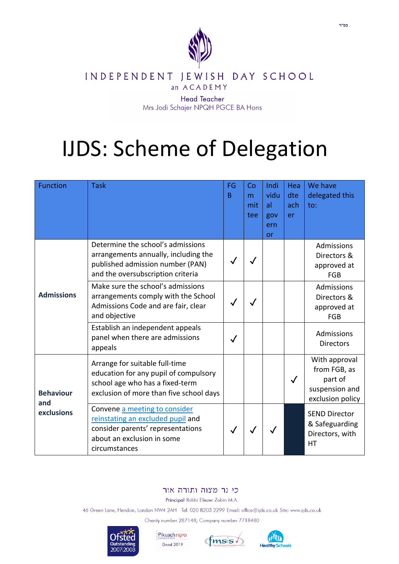

## INDEPENDENT JEWISH DAY SCHOOL

an ACADEMY

**Head Teacher** Mrs Jodi Schajer NPQH PGCE BA Hons

## **IJDS: Scheme of Delegation**

| <b>Function</b>                       | <b>Task</b>                                                                                                                                            | FG<br>B | Co<br>m<br>mit<br>tee | Indi<br>vidu<br>al<br>gov<br>ern<br>or | Hea<br>dte<br>ach<br>er | We have<br>delegated this<br>to:                                               |
|---------------------------------------|--------------------------------------------------------------------------------------------------------------------------------------------------------|---------|-----------------------|----------------------------------------|-------------------------|--------------------------------------------------------------------------------|
|                                       | Determine the school's admissions<br>arrangements annually, including the<br>published admission number (PAN)<br>and the oversubscription criteria     |         |                       |                                        |                         | Admissions<br>Directors &<br>approved at<br><b>FGB</b>                         |
| <b>Admissions</b>                     | Make sure the school's admissions<br>arrangements comply with the School<br>Admissions Code and are fair, clear<br>and objective                       |         |                       |                                        |                         | Admissions<br>Directors &<br>approved at<br><b>FGB</b>                         |
|                                       | Establish an independent appeals<br>panel when there are admissions<br>appeals                                                                         |         |                       |                                        |                         | <b>Admissions</b><br><b>Directors</b>                                          |
| <b>Behaviour</b><br>and<br>exclusions | Arrange for suitable full-time<br>education for any pupil of compulsory<br>school age who has a fixed-term<br>exclusion of more than five school days  |         |                       |                                        | $\checkmark$            | With approval<br>from FGB, as<br>part of<br>suspension and<br>exclusion policy |
|                                       | Convene a meeting to consider<br>reinstating an excluded pupil and<br>consider parents' representations<br>about an exclusion in some<br>circumstances |         |                       |                                        |                         | <b>SEND Director</b><br>& Safeguarding<br>Directors, with<br><b>HT</b>         |

## כי נר מצוה ותורה אור

Principal Rabbi Eliezer Zobin M.A.

46 Green Lane, Hendon, London NW4 2AH Tel: 020 8203 2299 Email: office@ijds.co.uk Site: www.ijds.co.uk

Charity number 287148; Company number 7718480



Pikuach פיקוח Good 2019



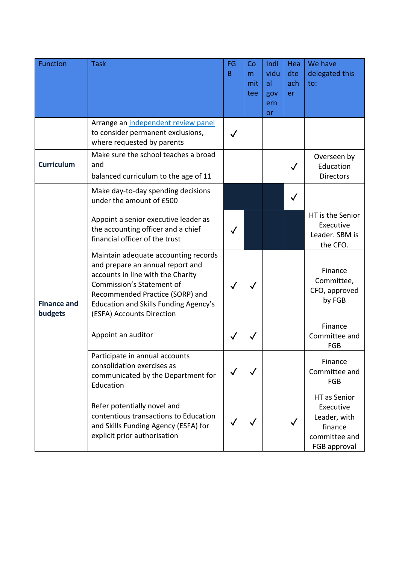| <b>Function</b>               | <b>Task</b>                                                                                                                                                                                                                                                       | FG<br>B | Co<br>m<br>mit<br>tee | Indi<br>vidu<br>al<br>gov<br>ern<br>or | Hea<br>dte<br>ach<br>er | We have<br>delegated this<br>to:                                                      |
|-------------------------------|-------------------------------------------------------------------------------------------------------------------------------------------------------------------------------------------------------------------------------------------------------------------|---------|-----------------------|----------------------------------------|-------------------------|---------------------------------------------------------------------------------------|
|                               | Arrange an independent review panel<br>to consider permanent exclusions,<br>where requested by parents                                                                                                                                                            |         |                       |                                        |                         |                                                                                       |
| <b>Curriculum</b>             | Make sure the school teaches a broad<br>and<br>balanced curriculum to the age of 11                                                                                                                                                                               |         |                       |                                        |                         | Overseen by<br>Education<br><b>Directors</b>                                          |
| <b>Finance and</b><br>budgets | Make day-to-day spending decisions<br>under the amount of £500                                                                                                                                                                                                    |         |                       |                                        |                         |                                                                                       |
|                               | Appoint a senior executive leader as<br>the accounting officer and a chief<br>financial officer of the trust                                                                                                                                                      |         |                       |                                        |                         | HT is the Senior<br>Executive<br>Leader. SBM is<br>the CFO.                           |
|                               | Maintain adequate accounting records<br>and prepare an annual report and<br>accounts in line with the Charity<br><b>Commission's Statement of</b><br>Recommended Practice (SORP) and<br><b>Education and Skills Funding Agency's</b><br>(ESFA) Accounts Direction |         |                       |                                        |                         | Finance<br>Committee,<br>CFO, approved<br>by FGB                                      |
|                               | Appoint an auditor                                                                                                                                                                                                                                                |         |                       |                                        |                         | Finance<br>Committee and<br>FGB                                                       |
|                               | Participate in annual accounts<br>consolidation exercises as<br>communicated by the Department for<br>Education                                                                                                                                                   |         |                       |                                        |                         | Finance<br>Committee and<br>FGB                                                       |
|                               | Refer potentially novel and<br>contentious transactions to Education<br>and Skills Funding Agency (ESFA) for<br>explicit prior authorisation                                                                                                                      |         |                       |                                        | $\checkmark$            | HT as Senior<br>Executive<br>Leader, with<br>finance<br>committee and<br>FGB approval |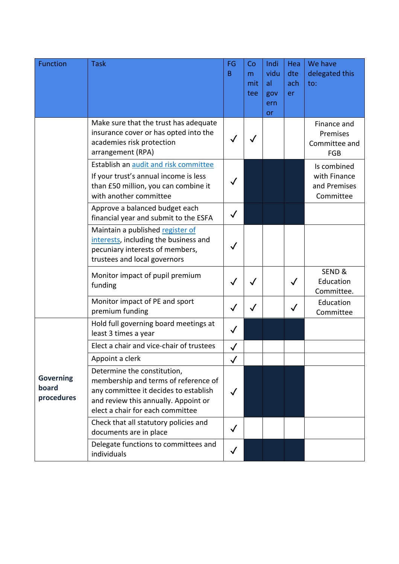| <b>Function</b>                         | <b>Task</b>                                                                                                                                                                              | FG<br>B      | Co<br>m<br>mit<br>tee | Indi<br>vidu<br>al<br>gov<br>ern<br>or | Hea<br>dte<br>ach<br>er | We have<br>delegated this<br>to:                         |
|-----------------------------------------|------------------------------------------------------------------------------------------------------------------------------------------------------------------------------------------|--------------|-----------------------|----------------------------------------|-------------------------|----------------------------------------------------------|
|                                         | Make sure that the trust has adequate<br>insurance cover or has opted into the<br>academies risk protection<br>arrangement (RPA)                                                         |              |                       |                                        |                         | Finance and<br>Premises<br>Committee and<br>FGB          |
|                                         | Establish an audit and risk committee<br>If your trust's annual income is less<br>than £50 million, you can combine it<br>with another committee                                         |              |                       |                                        |                         | Is combined<br>with Finance<br>and Premises<br>Committee |
|                                         | Approve a balanced budget each<br>financial year and submit to the ESFA                                                                                                                  |              |                       |                                        |                         |                                                          |
|                                         | Maintain a published register of<br>interests, including the business and<br>pecuniary interests of members,<br>trustees and local governors                                             |              |                       |                                        |                         |                                                          |
|                                         | Monitor impact of pupil premium<br>funding                                                                                                                                               |              |                       |                                        | $\checkmark$            | SEND &<br>Education<br>Committee.                        |
|                                         | Monitor impact of PE and sport<br>premium funding                                                                                                                                        |              |                       |                                        |                         | Education<br>Committee                                   |
|                                         | Hold full governing board meetings at<br>least 3 times a year                                                                                                                            | $\checkmark$ |                       |                                        |                         |                                                          |
|                                         | Elect a chair and vice-chair of trustees                                                                                                                                                 |              |                       |                                        |                         |                                                          |
|                                         | Appoint a clerk                                                                                                                                                                          | $\checkmark$ |                       |                                        |                         |                                                          |
| <b>Governing</b><br>board<br>procedures | Determine the constitution,<br>membership and terms of reference of<br>any committee it decides to establish<br>and review this annually. Appoint or<br>elect a chair for each committee | $\checkmark$ |                       |                                        |                         |                                                          |
|                                         | Check that all statutory policies and<br>documents are in place                                                                                                                          | $\checkmark$ |                       |                                        |                         |                                                          |
|                                         | Delegate functions to committees and<br>individuals                                                                                                                                      | $\checkmark$ |                       |                                        |                         |                                                          |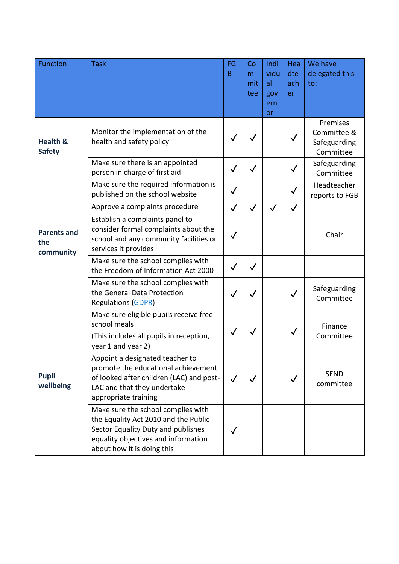| <b>Function</b>                        | <b>Task</b>                                                                                                                                                                           | FG<br>B      | Co<br>m<br>mit<br>tee | Indi<br>vidu<br>al<br>gov<br>ern<br>or | Hea<br>dte<br>ach<br>er | We have<br>delegated this<br>to:                     |
|----------------------------------------|---------------------------------------------------------------------------------------------------------------------------------------------------------------------------------------|--------------|-----------------------|----------------------------------------|-------------------------|------------------------------------------------------|
| <b>Health &amp;</b><br><b>Safety</b>   | Monitor the implementation of the<br>health and safety policy                                                                                                                         |              |                       |                                        |                         | Premises<br>Committee &<br>Safeguarding<br>Committee |
|                                        | Make sure there is an appointed<br>person in charge of first aid                                                                                                                      | $\sqrt{}$    | $\checkmark$          |                                        | $\checkmark$            | Safeguarding<br>Committee                            |
|                                        | Make sure the required information is<br>published on the school website                                                                                                              | $\checkmark$ |                       |                                        | $\checkmark$            | Headteacher<br>reports to FGB                        |
|                                        | Approve a complaints procedure                                                                                                                                                        | $\checkmark$ | $\checkmark$          | $\checkmark$                           | $\checkmark$            |                                                      |
| <b>Parents and</b><br>the<br>community | Establish a complaints panel to<br>consider formal complaints about the<br>school and any community facilities or<br>services it provides                                             | $\checkmark$ |                       |                                        |                         | Chair                                                |
|                                        | Make sure the school complies with<br>the Freedom of Information Act 2000                                                                                                             |              | $\checkmark$          |                                        |                         |                                                      |
|                                        | Make sure the school complies with<br>the General Data Protection<br><b>Regulations (GDPR)</b>                                                                                        |              | $\checkmark$          |                                        |                         | Safeguarding<br>Committee                            |
|                                        | Make sure eligible pupils receive free<br>school meals<br>(This includes all pupils in reception,<br>year 1 and year 2)                                                               |              |                       |                                        |                         | Finance<br>Committee                                 |
| <b>Pupil</b><br>wellbeing              | Appoint a designated teacher to<br>promote the educational achievement<br>of looked after children (LAC) and post-<br>LAC and that they undertake<br>appropriate training             |              |                       |                                        | ✓                       | <b>SEND</b><br>committee                             |
|                                        | Make sure the school complies with<br>the Equality Act 2010 and the Public<br>Sector Equality Duty and publishes<br>equality objectives and information<br>about how it is doing this |              |                       |                                        |                         |                                                      |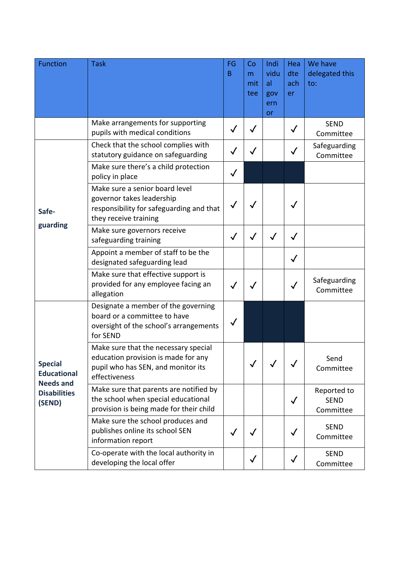| <b>Function</b>                                                                           | <b>Task</b>                                                                                                                        | FG<br>B      | Co<br>m<br>mit<br>tee | Indi<br>vidu<br>al<br>gov<br>ern<br>or | Hea<br>dte<br>ach<br>er | We have<br>delegated this<br>to:        |
|-------------------------------------------------------------------------------------------|------------------------------------------------------------------------------------------------------------------------------------|--------------|-----------------------|----------------------------------------|-------------------------|-----------------------------------------|
|                                                                                           | Make arrangements for supporting<br>pupils with medical conditions                                                                 | $\checkmark$ | $\checkmark$          |                                        | $\checkmark$            | <b>SEND</b><br>Committee                |
|                                                                                           | Check that the school complies with<br>statutory guidance on safeguarding                                                          |              |                       |                                        | $\checkmark$            | Safeguarding<br>Committee               |
|                                                                                           | Make sure there's a child protection<br>policy in place                                                                            |              |                       |                                        |                         |                                         |
| Safe-<br>guarding                                                                         | Make sure a senior board level<br>governor takes leadership<br>responsibility for safeguarding and that<br>they receive training   |              |                       |                                        | $\checkmark$            |                                         |
|                                                                                           | Make sure governors receive<br>safeguarding training                                                                               |              | $\checkmark$          | $\checkmark$                           | $\checkmark$            |                                         |
|                                                                                           | Appoint a member of staff to be the<br>designated safeguarding lead                                                                |              |                       |                                        | $\checkmark$            |                                         |
|                                                                                           | Make sure that effective support is<br>provided for any employee facing an<br>allegation                                           |              |                       |                                        | $\checkmark$            | Safeguarding<br>Committee               |
| <b>Special</b><br><b>Educational</b><br><b>Needs and</b><br><b>Disabilities</b><br>(SEND) | Designate a member of the governing<br>board or a committee to have<br>oversight of the school's arrangements<br>for SEND          |              |                       |                                        |                         |                                         |
|                                                                                           | Make sure that the necessary special<br>education provision is made for any<br>pupil who has SEN, and monitor its<br>effectiveness |              |                       |                                        |                         | Send<br>Committee                       |
|                                                                                           | Make sure that parents are notified by<br>the school when special educational<br>provision is being made for their child           |              |                       |                                        | $\checkmark$            | Reported to<br><b>SEND</b><br>Committee |
|                                                                                           | Make sure the school produces and<br>publishes online its school SEN<br>information report                                         | $\checkmark$ | $\checkmark$          |                                        | $\checkmark$            | <b>SEND</b><br>Committee                |
|                                                                                           | Co-operate with the local authority in<br>developing the local offer                                                               |              | $\checkmark$          |                                        |                         | <b>SEND</b><br>Committee                |